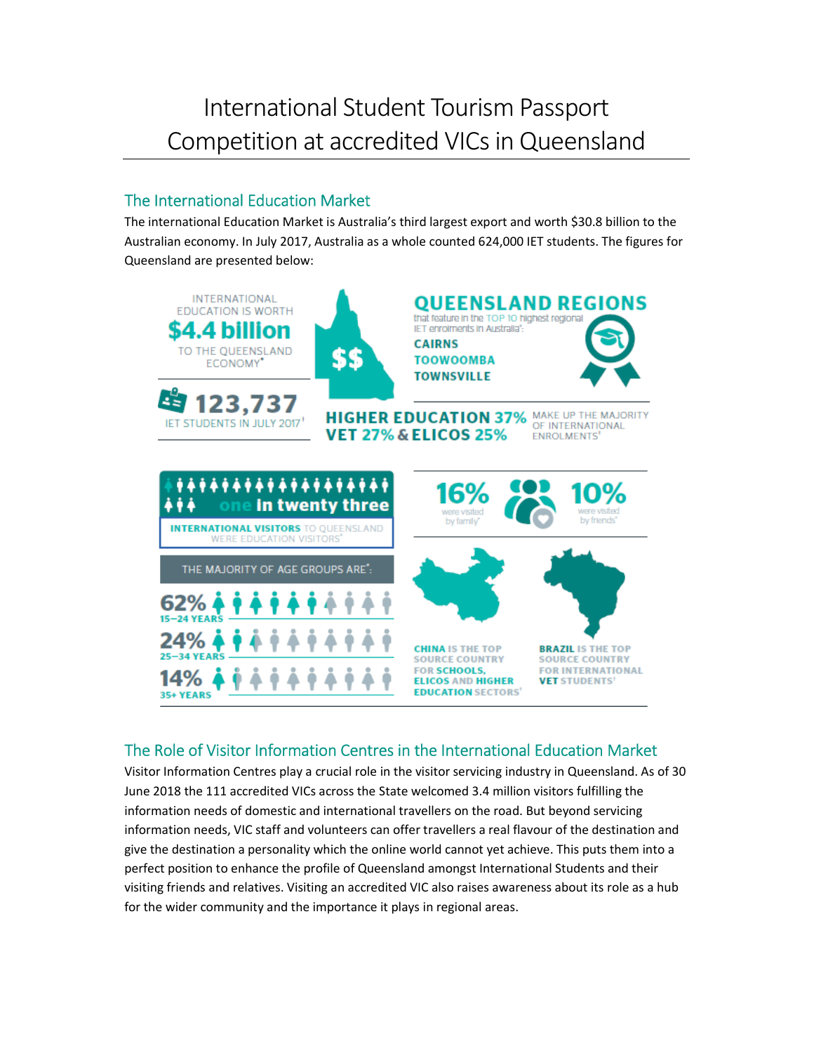## International Student Tourism Passport Competition at accredited VICs in Queensland

## The International Education Market

The international Education Market is Australia's third largest export and worth \$30.8 billion to the Australian economy. In July 2017, Australia as a whole counted 624,000 IET students. The figures for Queensland are presented below:



## The Role of Visitor Information Centres in the International Education Market

Visitor Information Centres play a crucial role in the visitor servicing industry in Queensland. As of 30 June 2018 the 111 accredited VICs across the State welcomed 3.4 million visitors fulfilling the information needs of domestic and international travellers on the road. But beyond servicing information needs, VIC staff and volunteers can offer travellers a real flavour of the destination and give the destination a personality which the online world cannot yet achieve. This puts them into a perfect position to enhance the profile of Queensland amongst International Students and their visiting friends and relatives. Visiting an accredited VIC also raises awareness about its role as a hub for the wider community and the importance it plays in regional areas.